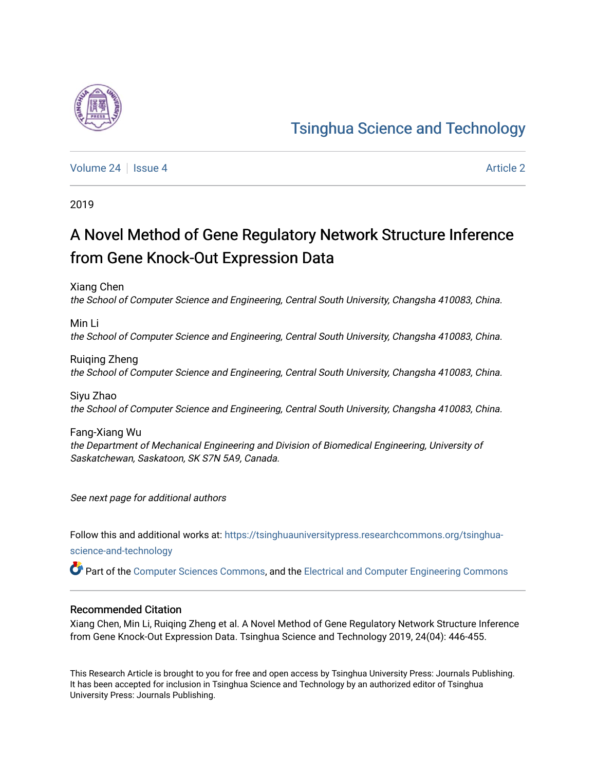# [Tsinghua Science and Technology](https://tsinghuauniversitypress.researchcommons.org/tsinghua-science-and-technology)

[Volume 24](https://tsinghuauniversitypress.researchcommons.org/tsinghua-science-and-technology/vol24) | [Issue 4](https://tsinghuauniversitypress.researchcommons.org/tsinghua-science-and-technology/vol24/iss4) [Article 2](https://tsinghuauniversitypress.researchcommons.org/tsinghua-science-and-technology/vol24/iss4/2) Article 2

2019

# A Novel Method of Gene Regulatory Network Structure Inference from Gene Knock-Out Expression Data

Xiang Chen the School of Computer Science and Engineering, Central South University, Changsha 410083, China.

Min Li the School of Computer Science and Engineering, Central South University, Changsha 410083, China.

Ruiqing Zheng the School of Computer Science and Engineering, Central South University, Changsha 410083, China.

Siyu Zhao the School of Computer Science and Engineering, Central South University, Changsha 410083, China.

Fang-Xiang Wu the Department of Mechanical Engineering and Division of Biomedical Engineering, University of Saskatchewan, Saskatoon, SK S7N 5A9, Canada.

See next page for additional authors

Follow this and additional works at: [https://tsinghuauniversitypress.researchcommons.org/tsinghua](https://tsinghuauniversitypress.researchcommons.org/tsinghua-science-and-technology?utm_source=tsinghuauniversitypress.researchcommons.org%2Ftsinghua-science-and-technology%2Fvol24%2Fiss4%2F2&utm_medium=PDF&utm_campaign=PDFCoverPages)[science-and-technology](https://tsinghuauniversitypress.researchcommons.org/tsinghua-science-and-technology?utm_source=tsinghuauniversitypress.researchcommons.org%2Ftsinghua-science-and-technology%2Fvol24%2Fiss4%2F2&utm_medium=PDF&utm_campaign=PDFCoverPages)

Part of the [Computer Sciences Commons](http://network.bepress.com/hgg/discipline/142?utm_source=tsinghuauniversitypress.researchcommons.org%2Ftsinghua-science-and-technology%2Fvol24%2Fiss4%2F2&utm_medium=PDF&utm_campaign=PDFCoverPages), and the [Electrical and Computer Engineering Commons](http://network.bepress.com/hgg/discipline/266?utm_source=tsinghuauniversitypress.researchcommons.org%2Ftsinghua-science-and-technology%2Fvol24%2Fiss4%2F2&utm_medium=PDF&utm_campaign=PDFCoverPages)

# Recommended Citation

Xiang Chen, Min Li, Ruiqing Zheng et al. A Novel Method of Gene Regulatory Network Structure Inference from Gene Knock-Out Expression Data. Tsinghua Science and Technology 2019, 24(04): 446-455.

This Research Article is brought to you for free and open access by Tsinghua University Press: Journals Publishing. It has been accepted for inclusion in Tsinghua Science and Technology by an authorized editor of Tsinghua University Press: Journals Publishing.

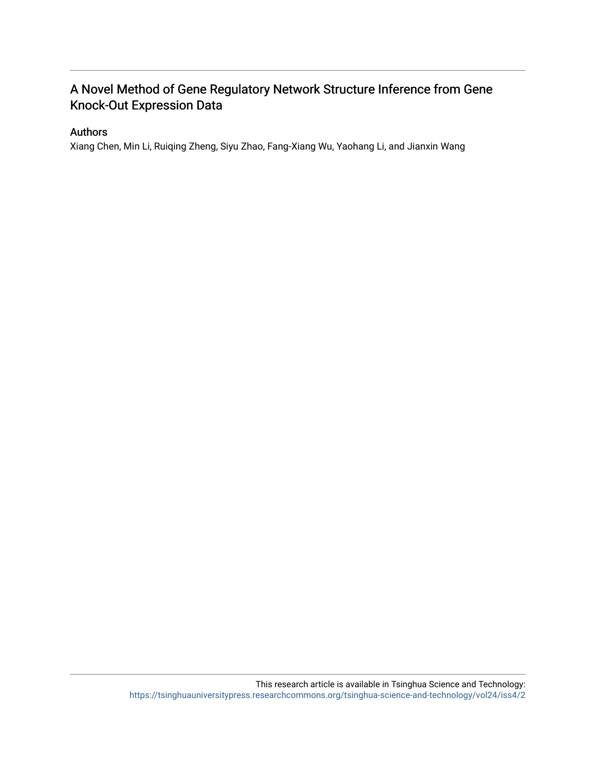# A Novel Method of Gene Regulatory Network Structure Inference from Gene Knock-Out Expression Data

# Authors

Xiang Chen, Min Li, Ruiqing Zheng, Siyu Zhao, Fang-Xiang Wu, Yaohang Li, and Jianxin Wang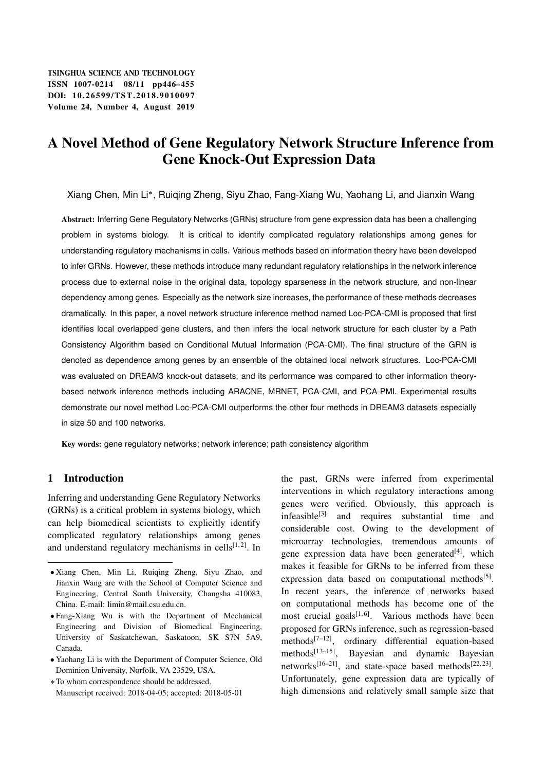# A Novel Method of Gene Regulatory Network Structure Inference from Gene Knock-Out Expression Data

Xiang Chen, Min Li\*, Ruiqing Zheng, Siyu Zhao, Fang-Xiang Wu, Yaohang Li, and Jianxin Wang

Abstract: Inferring Gene Regulatory Networks (GRNs) structure from gene expression data has been a challenging problem in systems biology. It is critical to identify complicated regulatory relationships among genes for understanding regulatory mechanisms in cells. Various methods based on information theory have been developed to infer GRNs. However, these methods introduce many redundant regulatory relationships in the network inference process due to external noise in the original data, topology sparseness in the network structure, and non-linear dependency among genes. Especially as the network size increases, the performance of these methods decreases dramatically. In this paper, a novel network structure inference method named Loc-PCA-CMI is proposed that first identifies local overlapped gene clusters, and then infers the local network structure for each cluster by a Path Consistency Algorithm based on Conditional Mutual Information (PCA-CMI). The final structure of the GRN is denoted as dependence among genes by an ensemble of the obtained local network structures. Loc-PCA-CMI was evaluated on DREAM3 knock-out datasets, and its performance was compared to other information theorybased network inference methods including ARACNE, MRNET, PCA-CMI, and PCA-PMI. Experimental results demonstrate our novel method Loc-PCA-CMI outperforms the other four methods in DREAM3 datasets especially in size 50 and 100 networks.

Key words: gene regulatory networks; network inference; path consistency algorithm

# 1 Introduction

Inferring and understanding Gene Regulatory Networks (GRNs) is a critical problem in systems biology, which can help biomedical scientists to explicitly identify complicated regulatory relationships among genes and understand regulatory mechanisms in cells $[1, 2]$ . In the past, GRNs were inferred from experimental interventions in which regulatory interactions among genes were verified. Obviously, this approach is infeasible[3] and requires substantial time and considerable cost. Owing to the development of microarray technologies, tremendous amounts of gene expression data have been generated $[4]$ , which makes it feasible for GRNs to be inferred from these expression data based on computational methods<sup>[5]</sup>. In recent years, the inference of networks based on computational methods has become one of the most crucial goals $[1, 6]$ . Various methods have been proposed for GRNs inference, such as regression-based methods $[7-12]$ , ordinary differential equation-based methods[13–15], Bayesian and dynamic Bayesian networks<sup>[16–21]</sup>, and state-space based methods<sup>[22, 23]</sup>. Unfortunately, gene expression data are typically of high dimensions and relatively small sample size that

Xiang Chen, Min Li, Ruiqing Zheng, Siyu Zhao, and Jianxin Wang are with the School of Computer Science and Engineering, Central South University, Changsha 410083, China. E-mail: limin@mail.csu.edu.cn.

Fang-Xiang Wu is with the Department of Mechanical Engineering and Division of Biomedical Engineering, University of Saskatchewan, Saskatoon, SK S7N 5A9, Canada.

Yaohang Li is with the Department of Computer Science, Old Dominion University, Norfolk, VA 23529, USA.

To whom correspondence should be addressed. Manuscript received: 2018-04-05; accepted: 2018-05-01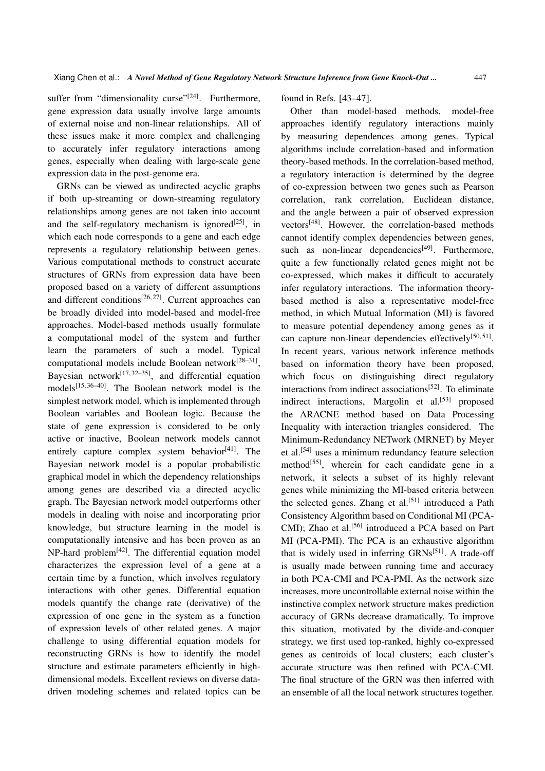suffer from "dimensionality curse"<sup>[24]</sup>. Furthermore, gene expression data usually involve large amounts of external noise and non-linear relationships. All of these issues make it more complex and challenging to accurately infer regulatory interactions among genes, especially when dealing with large-scale gene expression data in the post-genome era.

GRNs can be viewed as undirected acyclic graphs if both up-streaming or down-streaming regulatory relationships among genes are not taken into account and the self-regulatory mechanism is ignored<sup>[25]</sup>, in which each node corresponds to a gene and each edge represents a regulatory relationship between genes. Various computational methods to construct accurate structures of GRNs from expression data have been proposed based on a variety of different assumptions and different conditions<sup>[26, 27]</sup>. Current approaches can be broadly divided into model-based and model-free approaches. Model-based methods usually formulate a computational model of the system and further learn the parameters of such a model. Typical computational models include Boolean network<sup>[28-31]</sup>, Bayesian network $[17, 32-35]$ , and differential equation models[15, 36–40]. The Boolean network model is the simplest network model, which is implemented through Boolean variables and Boolean logic. Because the state of gene expression is considered to be only active or inactive, Boolean network models cannot entirely capture complex system behavior $[41]$ . The Bayesian network model is a popular probabilistic graphical model in which the dependency relationships among genes are described via a directed acyclic graph. The Bayesian network model outperforms other models in dealing with noise and incorporating prior knowledge, but structure learning in the model is computationally intensive and has been proven as an  $NP$ -hard problem<sup>[42]</sup>. The differential equation model characterizes the expression level of a gene at a certain time by a function, which involves regulatory interactions with other genes. Differential equation models quantify the change rate (derivative) of the expression of one gene in the system as a function of expression levels of other related genes. A major challenge to using differential equation models for reconstructing GRNs is how to identify the model structure and estimate parameters efficiently in highdimensional models. Excellent reviews on diverse datadriven modeling schemes and related topics can be found in Refs. [43–47].

Other than model-based methods, model-free approaches identify regulatory interactions mainly by measuring dependences among genes. Typical algorithms include correlation-based and information theory-based methods. In the correlation-based method, a regulatory interaction is determined by the degree of co-expression between two genes such as Pearson correlation, rank correlation, Euclidean distance, and the angle between a pair of observed expression vectors[48]. However, the correlation-based methods cannot identify complex dependencies between genes, such as non-linear dependencies $[49]$ . Furthermore, quite a few functionally related genes might not be co-expressed, which makes it difficult to accurately infer regulatory interactions. The information theorybased method is also a representative model-free method, in which Mutual Information (MI) is favored to measure potential dependency among genes as it can capture non-linear dependencies effectively<sup>[50, 51]</sup>. In recent years, various network inference methods based on information theory have been proposed, which focus on distinguishing direct regulatory interactions from indirect associations<sup>[52]</sup>. To eliminate indirect interactions, Margolin et al.<sup>[53]</sup> proposed the ARACNE method based on Data Processing Inequality with interaction triangles considered. The Minimum-Redundancy NETwork (MRNET) by Meyer et al.[54] uses a minimum redundancy feature selection method<sup>[55]</sup>, wherein for each candidate gene in a network, it selects a subset of its highly relevant genes while minimizing the MI-based criteria between the selected genes. Zhang et al.<sup>[51]</sup> introduced a Path Consistency Algorithm based on Conditional MI (PCA-CMI); Zhao et al.<sup>[56]</sup> introduced a PCA based on Part MI (PCA-PMI). The PCA is an exhaustive algorithm that is widely used in inferring  $GRNs^{[51]}$ . A trade-off is usually made between running time and accuracy in both PCA-CMI and PCA-PMI. As the network size increases, more uncontrollable external noise within the instinctive complex network structure makes prediction accuracy of GRNs decrease dramatically. To improve this situation, motivated by the divide-and-conquer strategy, we first used top-ranked, highly co-expressed genes as centroids of local clusters; each cluster's accurate structure was then refined with PCA-CMI. The final structure of the GRN was then inferred with an ensemble of all the local network structures together.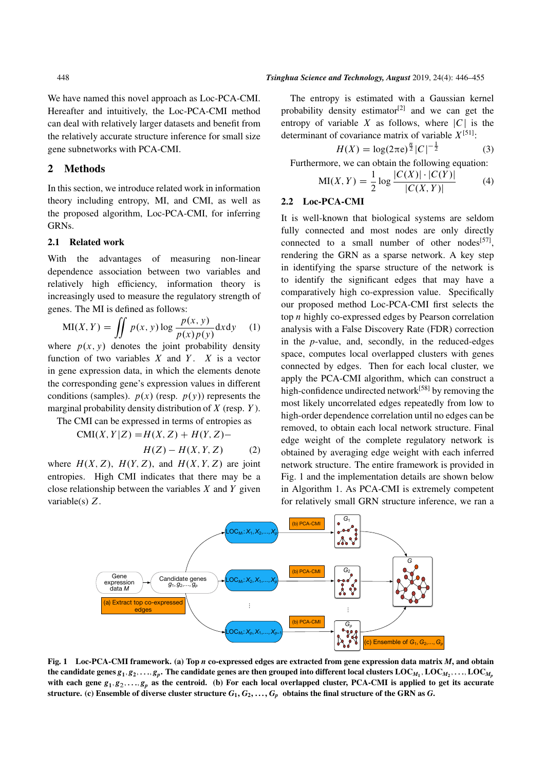We have named this novel approach as Loc-PCA-CMI. Hereafter and intuitively, the Loc-PCA-CMI method can deal with relatively larger datasets and benefit from the relatively accurate structure inference for small size gene subnetworks with PCA-CMI.

### 2 Methods

In this section, we introduce related work in information theory including entropy, MI, and CMI, as well as the proposed algorithm, Loc-PCA-CMI, for inferring GRNs.

# 2.1 Related work

With the advantages of measuring non-linear dependence association between two variables and relatively high efficiency, information theory is increasingly used to measure the regulatory strength of genes. The MI is defined as follows:

$$
MI(X, Y) = \iint p(x, y) \log \frac{p(x, y)}{p(x)p(y)} dx dy
$$
 (1)

where  $p(x, y)$  denotes the joint probability density function of two variables  $X$  and  $Y$ .  $X$  is a vector in gene expression data, in which the elements denote the corresponding gene's expression values in different conditions (samples).  $p(x)$  (resp.  $p(y)$ ) represents the marginal probability density distribution of  $X$  (resp.  $Y$ ).

The CMI can be expressed in terms of entropies as

 $CMI(X, Y|Z) = H(X, Z) + H(Y, Z) H(Z) - H(X, Y, Z)$  (2)

where  $H(X, Z)$ ,  $H(Y, Z)$ , and  $H(X, Y, Z)$  are joint entropies. High CMI indicates that there may be a close relationship between the variables  $X$  and  $Y$  given variable(s) Z.

#### 448 *Tsinghua Science and Technology, August* 2019, 24(4): 446–455

The entropy is estimated with a Gaussian kernel probability density estimator<sup>[2]</sup> and we can get the entropy of variable X as follows, where  $|C|$  is the determinant of covariance matrix of variable  $X^{[51]}$ :

$$
H(X) = \log(2\pi e)^{\frac{n}{2}} |C|^{-\frac{1}{2}}
$$
 (3)

Furthermore, we can obtain the following equation:

$$
MI(X, Y) = \frac{1}{2} \log \frac{|C(X)| \cdot |C(Y)|}{|C(X, Y)|}
$$
 (4)

# 2.2 Loc-PCA-CMI

It is well-known that biological systems are seldom fully connected and most nodes are only directly connected to a small number of other nodes<sup>[57]</sup>, rendering the GRN as a sparse network. A key step in identifying the sparse structure of the network is to identify the significant edges that may have a comparatively high co-expression value. Specifically our proposed method Loc-PCA-CMI first selects the top n highly co-expressed edges by Pearson correlation analysis with a False Discovery Rate (FDR) correction in the *p*-value, and, secondly, in the reduced-edges space, computes local overlapped clusters with genes connected by edges. Then for each local cluster, we apply the PCA-CMI algorithm, which can construct a high-confidence undirected network<sup>[58]</sup> by removing the most likely uncorrelated edges repeatedly from low to high-order dependence correlation until no edges can be removed, to obtain each local network structure. Final edge weight of the complete regulatory network is obtained by averaging edge weight with each inferred network structure. The entire framework is provided in Fig. 1 and the implementation details are shown below in Algorithm 1. As PCA-CMI is extremely competent for relatively small GRN structure inference, we ran a



Fig. 1 Loc-PCA-CMI framework. (a) Top *n* co-expressed edges are extracted from gene expression data matrix *M*, and obtain the candidate genes  $g_1, g_2, \ldots, g_p.$  The candidate genes are then grouped into different local clusters  $\mathrm{LOC}_{M_1}, \mathrm{LOC}_{M_2}, \ldots, \mathrm{LOC}_{M_p}$ with each gene  $g_1, g_2, \ldots, g_p$  as the centroid. (b) For each local overlapped cluster, PCA-CMI is applied to get its accurate structure. (c) Ensemble of diverse cluster structure  $G_1, G_2, \ldots, G_p$  obtains the final structure of the GRN as *G*.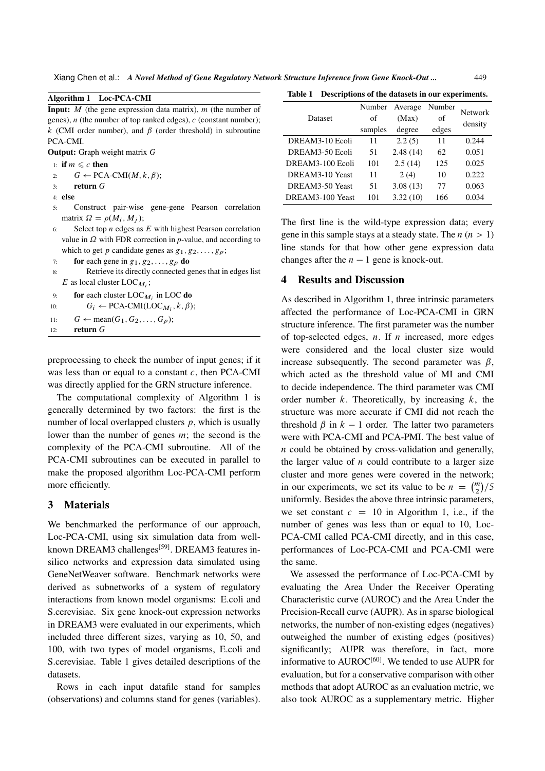Xiang Chen et al.: *A Novel Method of Gene Regulatory Network Structure Inference from Gene Knock-Out ...* 449

Algorithm 1 Loc-PCA-CMI

| <b>Input:</b> $M$ (the gene expression data matrix), $m$ (the number of |
|-------------------------------------------------------------------------|
| genes), $n$ (the number of top ranked edges), $c$ (constant number);    |
| k (CMI order number), and $\beta$ (order threshold) in subroutine       |
| PCA-CMI.                                                                |
| <b>Output:</b> Graph weight matrix G                                    |
| 1: if $m \leq c$ then                                                   |
| 2: $G \leftarrow PCA-CMI(M, k, \beta);$                                 |
| $3:$ return $G$                                                         |
| $4:$ else                                                               |
| Construct pair-wise gene-gene Pearson correlation<br>5:                 |
| matrix $\Omega = \rho(M_i, M_i);$                                       |
| Select top $n$ edges as $E$ with highest Pearson correlation<br>6:      |
| value in $\Omega$ with FDR correction in p-value, and according to      |
| which to get p candidate genes as $g_1, g_2, \ldots, g_p$ ;             |
| $\tau$ , for each gaps in $\sigma$ , $\sigma_2$ , $\sigma_3$ do         |

7: **for** each gene in  $g_1, g_2, \ldots, g_p$  do

- 8: Retrieve its directly connected genes that in edges list E as local cluster  $\text{LOC}_{M_i}$ ;
- 9: **for** each cluster  $LOC_{M_i}$  in LOC **do**  $DCA$   $CMR$

| 10: | $G_i \leftarrow \text{PCA-CMI}(\text{LOC}_{M_i}, k, \beta);$ |  |
|-----|--------------------------------------------------------------|--|
|     |                                                              |  |

- 11:  $G \leftarrow \text{mean}(G_1, G_2, \dots, G_p);$
- 12: return  $G$

preprocessing to check the number of input genes; if it was less than or equal to a constant  $c$ , then PCA-CMI was directly applied for the GRN structure inference.

The computational complexity of Algorithm 1 is generally determined by two factors: the first is the number of local overlapped clusters  $p$ , which is usually lower than the number of genes  $m$ ; the second is the complexity of the PCA-CMI subroutine. All of the PCA-CMI subroutines can be executed in parallel to make the proposed algorithm Loc-PCA-CMI perform more efficiently.

# 3 Materials

We benchmarked the performance of our approach, Loc-PCA-CMI, using six simulation data from wellknown DREAM3 challenges<sup>[59]</sup>. DREAM3 features insilico networks and expression data simulated using GeneNetWeaver software. Benchmark networks were derived as subnetworks of a system of regulatory interactions from known model organisms: E.coli and S.cerevisiae. Six gene knock-out expression networks in DREAM3 were evaluated in our experiments, which included three different sizes, varying as 10, 50, and 100, with two types of model organisms, E.coli and S.cerevisiae. Table 1 gives detailed descriptions of the datasets.

Rows in each input datafile stand for samples (observations) and columns stand for genes (variables).

Table 1 Descriptions of the datasets in our experiments.

| Dataset          | Number<br>of<br>samples | Average<br>(Max)<br>degree | Number<br>of<br>edges | <b>Network</b><br>density |
|------------------|-------------------------|----------------------------|-----------------------|---------------------------|
| DREAM3-10 Ecoli  | 11                      | 2.2(5)                     | 11                    | 0.244                     |
| DREAM3-50 Ecoli  | 51                      | 2.48(14)                   | 62                    | 0.051                     |
| DREAM3-100 Ecoli | 101                     | 2.5(14)                    | 125                   | 0.025                     |
| DREAM3-10 Yeast  | 11                      | 2(4)                       | 10                    | 0.222                     |
| DREAM3-50 Yeast  | 51                      | 3.08(13)                   | 77                    | 0.063                     |
| DREAM3-100 Yeast | 101                     | 3.32(10)                   | 166                   | 0.034                     |

The first line is the wild-type expression data; every gene in this sample stays at a steady state. The  $n (n > 1)$ line stands for that how other gene expression data changes after the  $n - 1$  gene is knock-out.

# 4 Results and Discussion

As described in Algorithm 1, three intrinsic parameters affected the performance of Loc-PCA-CMI in GRN structure inference. The first parameter was the number of top-selected edges,  $n$ . If  $n$  increased, more edges were considered and the local cluster size would increase subsequently. The second parameter was  $\beta$ , which acted as the threshold value of MI and CMI to decide independence. The third parameter was CMI order number  $k$ . Theoretically, by increasing  $k$ , the structure was more accurate if CMI did not reach the threshold  $\beta$  in  $k - 1$  order. The latter two parameters were with PCA-CMI and PCA-PMI. The best value of n could be obtained by cross-validation and generally, the larger value of  $n$  could contribute to a larger size cluster and more genes were covered in the network; in our experiments, we set its value to be  $n = \binom{m}{2}/5$ uniformly. Besides the above three intrinsic parameters, we set constant  $c = 10$  in Algorithm 1, i.e., if the number of genes was less than or equal to 10, Loc-PCA-CMI called PCA-CMI directly, and in this case, performances of Loc-PCA-CMI and PCA-CMI were the same.

We assessed the performance of Loc-PCA-CMI by evaluating the Area Under the Receiver Operating Characteristic curve (AUROC) and the Area Under the Precision-Recall curve (AUPR). As in sparse biological networks, the number of non-existing edges (negatives) outweighed the number of existing edges (positives) significantly; AUPR was therefore, in fact, more informative to  $ALROC<sup>[60]</sup>$ . We tended to use  $AUPR$  for evaluation, but for a conservative comparison with other methods that adopt AUROC as an evaluation metric, we also took AUROC as a supplementary metric. Higher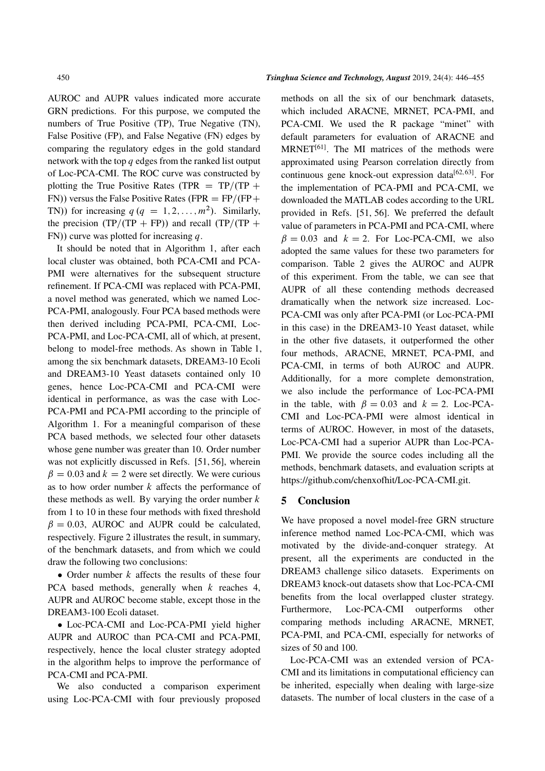AUROC and AUPR values indicated more accurate GRN predictions. For this purpose, we computed the numbers of True Positive (TP), True Negative (TN), False Positive (FP), and False Negative (FN) edges by comparing the regulatory edges in the gold standard network with the top q edges from the ranked list output of Loc-PCA-CMI. The ROC curve was constructed by plotting the True Positive Rates (TPR  $=$  TP/(TP  $+$ FN)) versus the False Positive Rates (FPR =  $FP/(FP+$ TN)) for increasing  $q (q = 1, 2, ..., m^2)$ . Similarly, the precision  $(TP/(TP + FP))$  and recall  $(TP/(TP +$ FN)) curve was plotted for increasing  $q$ .

It should be noted that in Algorithm 1, after each local cluster was obtained, both PCA-CMI and PCA-PMI were alternatives for the subsequent structure refinement. If PCA-CMI was replaced with PCA-PMI, a novel method was generated, which we named Loc-PCA-PMI, analogously. Four PCA based methods were then derived including PCA-PMI, PCA-CMI, Loc-PCA-PMI, and Loc-PCA-CMI, all of which, at present, belong to model-free methods. As shown in Table 1, among the six benchmark datasets, DREAM3-10 Ecoli and DREAM3-10 Yeast datasets contained only 10 genes, hence Loc-PCA-CMI and PCA-CMI were identical in performance, as was the case with Loc-PCA-PMI and PCA-PMI according to the principle of Algorithm 1. For a meaningful comparison of these PCA based methods, we selected four other datasets whose gene number was greater than 10. Order number was not explicitly discussed in Refs. [51, 56], wherein  $\beta = 0.03$  and  $k = 2$  were set directly. We were curious as to how order number  $k$  affects the performance of these methods as well. By varying the order number  $k$ from 1 to 10 in these four methods with fixed threshold  $\beta = 0.03$ , AUROC and AUPR could be calculated, respectively. Figure 2 illustrates the result, in summary, of the benchmark datasets, and from which we could draw the following two conclusions:

• Order number  $k$  affects the results of these four PCA based methods, generally when  $k$  reaches 4, AUPR and AUROC become stable, except those in the DREAM3-100 Ecoli dataset.

 Loc-PCA-CMI and Loc-PCA-PMI yield higher AUPR and AUROC than PCA-CMI and PCA-PMI, respectively, hence the local cluster strategy adopted in the algorithm helps to improve the performance of PCA-CMI and PCA-PMI.

We also conducted a comparison experiment using Loc-PCA-CMI with four previously proposed methods on all the six of our benchmark datasets, which included ARACNE, MRNET, PCA-PMI, and PCA-CMI. We used the R package "minet" with default parameters for evaluation of ARACNE and  $MRNET<sup>[61]</sup>$ . The MI matrices of the methods were approximated using Pearson correlation directly from continuous gene knock-out expression data $[62, 63]$ . For the implementation of PCA-PMI and PCA-CMI, we downloaded the MATLAB codes according to the URL provided in Refs. [51, 56]. We preferred the default value of parameters in PCA-PMI and PCA-CMI, where  $\beta = 0.03$  and  $k = 2$ . For Loc-PCA-CMI, we also adopted the same values for these two parameters for comparison. Table 2 gives the AUROC and AUPR of this experiment. From the table, we can see that AUPR of all these contending methods decreased dramatically when the network size increased. Loc-PCA-CMI was only after PCA-PMI (or Loc-PCA-PMI in this case) in the DREAM3-10 Yeast dataset, while in the other five datasets, it outperformed the other four methods, ARACNE, MRNET, PCA-PMI, and PCA-CMI, in terms of both AUROC and AUPR. Additionally, for a more complete demonstration, we also include the performance of Loc-PCA-PMI in the table, with  $\beta = 0.03$  and  $k = 2$ . Loc-PCA-CMI and Loc-PCA-PMI were almost identical in terms of AUROC. However, in most of the datasets, Loc-PCA-CMI had a superior AUPR than Loc-PCA-PMI. We provide the source codes including all the methods, benchmark datasets, and evaluation scripts at https://github.com/chenxofhit/Loc-PCA-CMI.git.

# 5 Conclusion

We have proposed a novel model-free GRN structure inference method named Loc-PCA-CMI, which was motivated by the divide-and-conquer strategy. At present, all the experiments are conducted in the DREAM3 challenge silico datasets. Experiments on DREAM3 knock-out datasets show that Loc-PCA-CMI benefits from the local overlapped cluster strategy. Furthermore, Loc-PCA-CMI outperforms other comparing methods including ARACNE, MRNET, PCA-PMI, and PCA-CMI, especially for networks of sizes of 50 and 100.

Loc-PCA-CMI was an extended version of PCA-CMI and its limitations in computational efficiency can be inherited, especially when dealing with large-size datasets. The number of local clusters in the case of a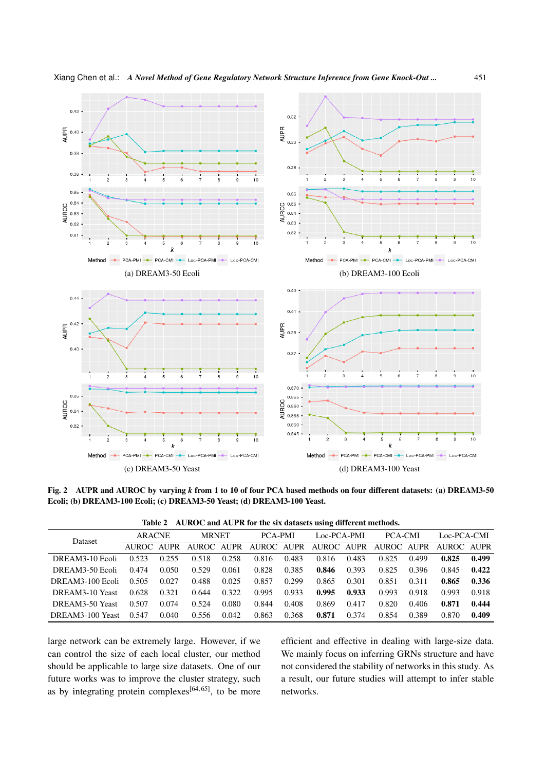

Fig. 2 AUPR and AUROC by varying *k* from 1 to 10 of four PCA based methods on four different datasets: (a) DREAM3-50 Ecoli; (b) DREAM3-100 Ecoli; (c) DREAM3-50 Yeast; (d) DREAM3-100 Yeast.

| Table 2 AUROC and AUPR for the six datasets using different methods. |
|----------------------------------------------------------------------|
|----------------------------------------------------------------------|

| Dataset          | <b>ARACNE</b> |       | <b>MRNET</b> |             | <b>PCA-PMI</b> |       | Loc-PCA-PMI |       | <b>PCA-CMI</b> |       | Loc-PCA-CMI |       |
|------------------|---------------|-------|--------------|-------------|----------------|-------|-------------|-------|----------------|-------|-------------|-------|
|                  | AUROC AUPR    |       | AUROC.       | <b>AUPR</b> | AUROC AUPR     |       | AUROC AUPR  |       | AUROC -        | AUPR  | AUROC AUPR  |       |
| DREAM3-10 Ecoli  | 0.523         | 0.255 | 0.518        | 0.258       | 0.816          | 0.483 | 0.816       | 0.483 | 0.825          | 0.499 | 0.825       | 0.499 |
| DREAM3-50 Ecoli  | 0.474         | 0.050 | 0.529        | 0.061       | 0.828          | 0.385 | 0.846       | 0.393 | 0.825          | 0.396 | 0.845       | 0.422 |
| DREAM3-100 Ecoli | 0.505         | 0.027 | 0.488        | 0.025       | 0.857          | 0.299 | 0.865       | 0.301 | 0.851          | 0.311 | 0.865       | 0.336 |
| DREAM3-10 Yeast  | 0.628         | 0.321 | 0.644        | 0.322       | 0.995          | 0.933 | 0.995       | 0.933 | 0.993          | 0.918 | 0.993       | 0.918 |
| DREAM3-50 Yeast  | 0.507         | 0.074 | 0.524        | 0.080       | 0.844          | 0.408 | 0.869       | 0.417 | 0.820          | 0.406 | 0.871       | 0.444 |
| DREAM3-100 Yeast | 0.547         | 0.040 | 0.556        | 0.042       | 0.863          | 0.368 | 0.871       | 0.374 | 0.854          | 0.389 | 0.870       | 0.409 |

large network can be extremely large. However, if we can control the size of each local cluster, our method should be applicable to large size datasets. One of our future works was to improve the cluster strategy, such as by integrating protein complexes<sup>[64, 65]</sup>, to be more efficient and effective in dealing with large-size data. We mainly focus on inferring GRNs structure and have not considered the stability of networks in this study. As a result, our future studies will attempt to infer stable networks.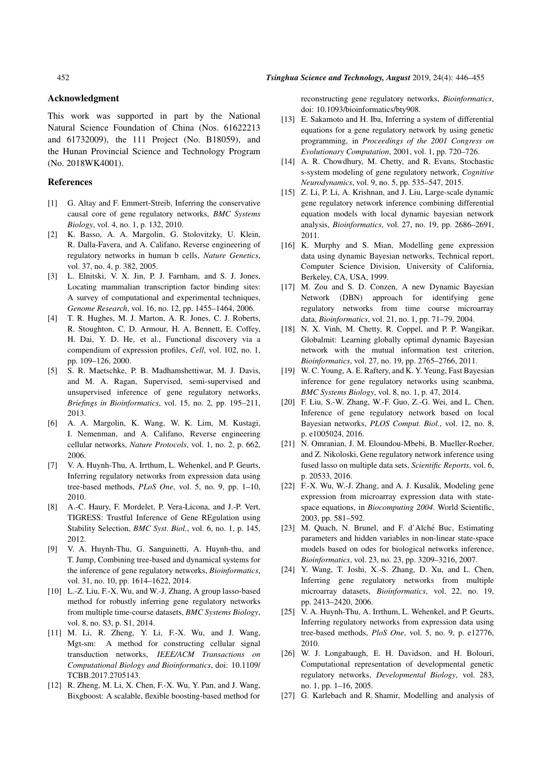# Acknowledgment

This work was supported in part by the National Natural Science Foundation of China (Nos. 61622213 and 61732009), the 111 Project (No. B18059), and the Hunan Provincial Science and Technology Program (No. 2018WK4001).

## References

- [1] G. Altay and F. Emmert-Streib, Inferring the conservative causal core of gene regulatory networks, *BMC Systems Biology*, vol. 4, no. 1, p. 132, 2010.
- [2] K. Basso, A. A. Margolin, G. Stolovitzky, U. Klein, R. Dalla-Favera, and A. Califano, Reverse engineering of regulatory networks in human b cells, *Nature Genetics*, vol. 37, no. 4, p. 382, 2005.
- [3] L. Elnitski, V. X. Jin, P. J. Farnham, and S. J. Jones, Locating mammalian transcription factor binding sites: A survey of computational and experimental techniques, *Genome Research*, vol. 16, no. 12, pp. 1455–1464, 2006.
- [4] T. R. Hughes, M. J. Marton, A. R. Jones, C. J. Roberts, R. Stoughton, C. D. Armour, H. A. Bennett, E. Coffey, H. Dai, Y. D. He, et al., Functional discovery via a compendium of expression profiles, *Cell*, vol. 102, no. 1, pp. 109–126, 2000.
- [5] S. R. Maetschke, P. B. Madhamshettiwar, M. J. Davis, and M. A. Ragan, Supervised, semi-supervised and unsupervised inference of gene regulatory networks, *Briefings in Bioinformatics*, vol. 15, no. 2, pp. 195–211, 2013.
- [6] A. A. Margolin, K. Wang, W. K. Lim, M. Kustagi, I. Nemenman, and A. Califano, Reverse engineering cellular networks, *Nature Protocols*, vol. 1, no. 2, p. 662, 2006.
- [7] V. A. Huynh-Thu, A. Irrthum, L. Wehenkel, and P. Geurts, Inferring regulatory networks from expression data using tree-based methods, *PLoS One*, vol. 5, no. 9, pp. 1–10, 2010.
- [8] A.-C. Haury, F. Mordelet, P. Vera-Licona, and J.-P. Vert, TIGRESS: Trustful Inference of Gene REgulation using Stability Selection, *BMC Syst. Biol.*, vol. 6, no. 1, p. 145, 2012.
- [9] V. A. Huynh-Thu, G. Sanguinetti, A. Huynh-thu, and T. Jump, Combining tree-based and dynamical systems for the inference of gene regulatory networks, *Bioinformatics*, vol. 31, no. 10, pp. 1614–1622, 2014.
- [10] L.-Z. Liu, F.-X. Wu, and W.-J. Zhang, A group lasso-based method for robustly inferring gene regulatory networks from multiple time-course datasets, *BMC Systems Biology*, vol. 8, no. S3, p. S1, 2014.
- [11] M. Li, R. Zheng, Y. Li, F.-X. Wu, and J. Wang, Mgt-sm: A method for constructing cellular signal transduction networks, *IEEE/ACM Transactions on Computational Biology and Bioinformatics*, doi: 10.1109/ TCBB.2017.2705143.
- [12] R. Zheng, M. Li, X. Chen, F.-X. Wu, Y. Pan, and J. Wang, Bixgboost: A scalable, flexible boosting-based method for

reconstructing gene regulatory networks, *Bioinformatics*, doi: 10.1093/bioinformatics/bty908.

- [13] E. Sakamoto and H. Iba, Inferring a system of differential equations for a gene regulatory network by using genetic programming, in *Proceedings of the 2001 Congress on Evolutionary Computation*, 2001, vol. 1, pp. 720–726.
- [14] A. R. Chowdhury, M. Chetty, and R. Evans, Stochastic s-system modeling of gene regulatory network, *Cognitive Neurodynamics*, vol. 9, no. 5, pp. 535–547, 2015.
- [15] Z. Li, P. Li, A. Krishnan, and J. Liu, Large-scale dynamic gene regulatory network inference combining differential equation models with local dynamic bayesian network analysis, *Bioinformatics*, vol. 27, no. 19, pp. 2686–2691, 2011.
- [16] K. Murphy and S. Mian, Modelling gene expression data using dynamic Bayesian networks, Technical report, Computer Science Division, University of California, Berkeley, CA, USA, 1999.
- [17] M. Zou and S. D. Conzen, A new Dynamic Bayesian Network (DBN) approach for identifying gene regulatory networks from time course microarray data, *Bioinformatics*, vol. 21, no. 1, pp. 71–79, 2004.
- [18] N. X. Vinh, M. Chetty, R. Coppel, and P. P. Wangikar, Globalmit: Learning globally optimal dynamic Bayesian network with the mutual information test criterion, *Bioinformatics*, vol. 27, no. 19, pp. 2765–2766, 2011.
- [19] W. C. Young, A. E. Raftery, and K. Y. Yeung, Fast Bayesian inference for gene regulatory networks using scanbma, *BMC Systems Biology*, vol. 8, no. 1, p. 47, 2014.
- [20] F. Liu, S.-W. Zhang, W.-F. Guo, Z.-G. Wei, and L. Chen, Inference of gene regulatory network based on local Bayesian networks, *PLOS Comput. Biol.*, vol. 12, no. 8, p. e1005024, 2016.
- [21] N. Omranian, J. M. Eloundou-Mbebi, B. Mueller-Roeber, and Z. Nikoloski, Gene regulatory network inference using fused lasso on multiple data sets, *Scientific Reports*, vol. 6, p. 20533, 2016.
- [22] F.-X. Wu, W.-J. Zhang, and A. J. Kusalik, Modeling gene expression from microarray expression data with statespace equations, in *Biocomputing 2004*. World Scientific, 2003, pp. 581–592.
- [23] M. Quach, N. Brunel, and F. d'Alché Buc, Estimating parameters and hidden variables in non-linear state-space models based on odes for biological networks inference, *Bioinformatics*, vol. 23, no. 23, pp. 3209–3216, 2007.
- [24] Y. Wang, T. Joshi, X.-S. Zhang, D. Xu, and L. Chen, Inferring gene regulatory networks from multiple microarray datasets, *Bioinformatics*, vol. 22, no. 19, pp. 2413–2420, 2006.
- [25] V. A. Huynh-Thu, A. Irrthum, L. Wehenkel, and P. Geurts, Inferring regulatory networks from expression data using tree-based methods, *PloS One*, vol. 5, no. 9, p. e12776, 2010.
- [26] W. J. Longabaugh, E. H. Davidson, and H. Bolouri, Computational representation of developmental genetic regulatory networks, *Developmental Biology*, vol. 283, no. 1, pp. 1–16, 2005.
- [27] G. Karlebach and R. Shamir, Modelling and analysis of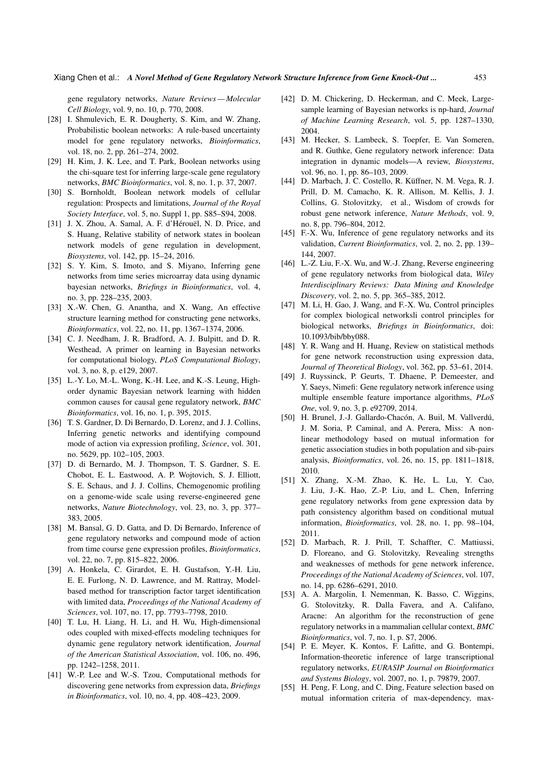gene regulatory networks, *Nature Reviews — Molecular Cell Biology*, vol. 9, no. 10, p. 770, 2008.

- [28] I. Shmulevich, E. R. Dougherty, S. Kim, and W. Zhang, Probabilistic boolean networks: A rule-based uncertainty model for gene regulatory networks, *Bioinformatics*, vol. 18, no. 2, pp. 261–274, 2002.
- [29] H. Kim, J. K. Lee, and T. Park, Boolean networks using the chi-square test for inferring large-scale gene regulatory networks, *BMC Bioinformatics*, vol. 8, no. 1, p. 37, 2007.
- [30] S. Bornholdt, Boolean network models of cellular regulation: Prospects and limitations, *Journal of the Royal Society Interface*, vol. 5, no. Suppl 1, pp. S85–S94, 2008.
- [31] J. X. Zhou, A. Samal, A. F. d'Hérouël, N. D. Price, and S. Huang, Relative stability of network states in boolean network models of gene regulation in development, *Biosystems*, vol. 142, pp. 15–24, 2016.
- [32] S. Y. Kim, S. Imoto, and S. Miyano, Inferring gene networks from time series microarray data using dynamic bayesian networks, *Briefings in Bioinformatics*, vol. 4, no. 3, pp. 228–235, 2003.
- [33] X.-W. Chen, G. Anantha, and X. Wang, An effective structure learning method for constructing gene networks, *Bioinformatics*, vol. 22, no. 11, pp. 1367–1374, 2006.
- [34] C. J. Needham, J. R. Bradford, A. J. Bulpitt, and D. R. Westhead, A primer on learning in Bayesian networks for computational biology, *PLoS Computational Biology*, vol. 3, no. 8, p. e129, 2007.
- [35] L.-Y. Lo, M.-L. Wong, K.-H. Lee, and K.-S. Leung, Highorder dynamic Bayesian network learning with hidden common causes for causal gene regulatory network, *BMC Bioinformatics*, vol. 16, no. 1, p. 395, 2015.
- [36] T. S. Gardner, D. Di Bernardo, D. Lorenz, and J. J. Collins, Inferring genetic networks and identifying compound mode of action via expression profiling, *Science*, vol. 301, no. 5629, pp. 102–105, 2003.
- [37] D. di Bernardo, M. J. Thompson, T. S. Gardner, S. E. Chobot, E. L. Eastwood, A. P. Wojtovich, S. J. Elliott, S. E. Schaus, and J. J. Collins, Chemogenomic profiling on a genome-wide scale using reverse-engineered gene networks, *Nature Biotechnology*, vol. 23, no. 3, pp. 377– 383, 2005.
- [38] M. Bansal, G. D. Gatta, and D. Di Bernardo, Inference of gene regulatory networks and compound mode of action from time course gene expression profiles, *Bioinformatics*, vol. 22, no. 7, pp. 815–822, 2006.
- [39] A. Honkela, C. Girardot, E. H. Gustafson, Y.-H. Liu, E. E. Furlong, N. D. Lawrence, and M. Rattray, Modelbased method for transcription factor target identification with limited data, *Proceedings of the National Academy of Sciences*, vol. 107, no. 17, pp. 7793–7798, 2010.
- [40] T. Lu, H. Liang, H. Li, and H. Wu, High-dimensional odes coupled with mixed-effects modeling techniques for dynamic gene regulatory network identification, *Journal of the American Statistical Association*, vol. 106, no. 496, pp. 1242–1258, 2011.
- [41] W.-P. Lee and W.-S. Tzou, Computational methods for discovering gene networks from expression data, *Briefings in Bioinformatics*, vol. 10, no. 4, pp. 408–423, 2009.
- [42] D. M. Chickering, D. Heckerman, and C. Meek, Largesample learning of Bayesian networks is np-hard, *Journal of Machine Learning Research*, vol. 5, pp. 1287–1330, 2004.
- [43] M. Hecker, S. Lambeck, S. Toepfer, E. Van Someren, and R. Guthke, Gene regulatory network inference: Data integration in dynamic models—A review, *Biosystems*, vol. 96, no. 1, pp. 86–103, 2009.
- [44] D. Marbach, J. C. Costello, R. Küffner, N. M. Vega, R. J. Prill, D. M. Camacho, K. R. Allison, M. Kellis, J. J. Collins, G. Stolovitzky, et al., Wisdom of crowds for robust gene network inference, *Nature Methods*, vol. 9, no. 8, pp. 796–804, 2012.
- [45] F.-X. Wu, Inference of gene regulatory networks and its validation, *Current Bioinformatics*, vol. 2, no. 2, pp. 139– 144, 2007.
- [46] L.-Z. Liu, F.-X. Wu, and W.-J. Zhang, Reverse engineering of gene regulatory networks from biological data, *Wiley Interdisciplinary Reviews: Data Mining and Knowledge Discovery*, vol. 2, no. 5, pp. 365–385, 2012.
- [47] M. Li, H. Gao, J. Wang, and F.-X. Wu, Control principles for complex biological networksli control principles for biological networks, *Briefings in Bioinformatics*, doi: 10.1093/bib/bby088.
- [48] Y. R. Wang and H. Huang, Review on statistical methods for gene network reconstruction using expression data, *Journal of Theoretical Biology*, vol. 362, pp. 53–61, 2014.
- [49] J. Ruyssinck, P. Geurts, T. Dhaene, P. Demeester, and Y. Saeys, Nimefi: Gene regulatory network inference using multiple ensemble feature importance algorithms, *PLoS One*, vol. 9, no. 3, p. e92709, 2014.
- [50] H. Brunel, J.-J. Gallardo-Chacón, A. Buil, M. Vallverdú, J. M. Soria, P. Caminal, and A. Perera, Miss: A nonlinear methodology based on mutual information for genetic association studies in both population and sib-pairs analysis, *Bioinformatics*, vol. 26, no. 15, pp. 1811–1818, 2010.
- [51] X. Zhang, X.-M. Zhao, K. He, L. Lu, Y. Cao, J. Liu, J.-K. Hao, Z.-P. Liu, and L. Chen, Inferring gene regulatory networks from gene expression data by path consistency algorithm based on conditional mutual information, *Bioinformatics*, vol. 28, no. 1, pp. 98–104, 2011.
- [52] D. Marbach, R. J. Prill, T. Schaffter, C. Mattiussi, D. Floreano, and G. Stolovitzky, Revealing strengths and weaknesses of methods for gene network inference, *Proceedings of the National Academy of Sciences*, vol. 107, no. 14, pp. 6286–6291, 2010.
- [53] A. A. Margolin, I. Nemenman, K. Basso, C. Wiggins, G. Stolovitzky, R. Dalla Favera, and A. Califano, Aracne: An algorithm for the reconstruction of gene regulatory networks in a mammalian cellular context, *BMC Bioinformatics*, vol. 7, no. 1, p. S7, 2006.
- [54] P. E. Meyer, K. Kontos, F. Lafitte, and G. Bontempi, Information-theoretic inference of large transcriptional regulatory networks, *EURASIP Journal on Bioinformatics and Systems Biology*, vol. 2007, no. 1, p. 79879, 2007.
- [55] H. Peng, F. Long, and C. Ding, Feature selection based on mutual information criteria of max-dependency, max-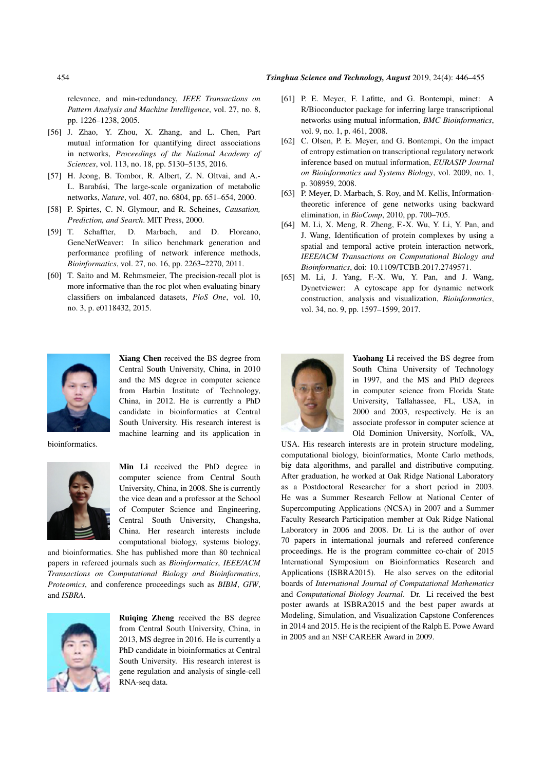# 454 *Tsinghua Science and Technology, August* 2019, 24(4): 446–455

relevance, and min-redundancy, *IEEE Transactions on Pattern Analysis and Machine Intelligence*, vol. 27, no. 8, pp. 1226–1238, 2005.

- [56] J. Zhao, Y. Zhou, X. Zhang, and L. Chen, Part mutual information for quantifying direct associations in networks, *Proceedings of the National Academy of Sciences*, vol. 113, no. 18, pp. 5130–5135, 2016.
- [57] H. Jeong, B. Tombor, R. Albert, Z. N. Oltvai, and A.- L. Barabási, The large-scale organization of metabolic networks, *Nature*, vol. 407, no. 6804, pp. 651–654, 2000.
- [58] P. Spirtes, C. N. Glymour, and R. Scheines, *Causation, Prediction, and Search*. MIT Press, 2000.
- [59] T. Schaffter, D. Marbach, and D. Floreano, GeneNetWeaver: In silico benchmark generation and performance profiling of network inference methods, *Bioinformatics*, vol. 27, no. 16, pp. 2263–2270, 2011.
- [60] T. Saito and M. Rehmsmeier, The precision-recall plot is more informative than the roc plot when evaluating binary classifiers on imbalanced datasets, *PloS One*, vol. 10, no. 3, p. e0118432, 2015.



Xiang Chen received the BS degree from Central South University, China, in 2010 and the MS degree in computer science from Harbin Institute of Technology, China, in 2012. He is currently a PhD candidate in bioinformatics at Central South University. His research interest is machine learning and its application in

bioinformatics.



Min Li received the PhD degree in computer science from Central South University, China, in 2008. She is currently the vice dean and a professor at the School of Computer Science and Engineering, Central South University, Changsha, China. Her research interests include computational biology, systems biology,

and bioinformatics. She has published more than 80 technical papers in refereed journals such as *Bioinformatics*, *IEEE/ACM Transactions on Computational Biology and Bioinformatics*, *Proteomics*, and conference proceedings such as *BIBM*, *GIW*, and *ISBRA*.



Ruiqing Zheng received the BS degree from Central South University, China, in 2013, MS degree in 2016. He is currently a PhD candidate in bioinformatics at Central South University. His research interest is gene regulation and analysis of single-cell RNA-seq data.

- [61] P. E. Meyer, F. Lafitte, and G. Bontempi, minet: A R/Bioconductor package for inferring large transcriptional networks using mutual information, *BMC Bioinformatics*, vol. 9, no. 1, p. 461, 2008.
- [62] C. Olsen, P. E. Meyer, and G. Bontempi, On the impact of entropy estimation on transcriptional regulatory network inference based on mutual information, *EURASIP Journal on Bioinformatics and Systems Biology*, vol. 2009, no. 1, p. 308959, 2008.
- [63] P. Meyer, D. Marbach, S. Roy, and M. Kellis, Informationtheoretic inference of gene networks using backward elimination, in *BioComp*, 2010, pp. 700–705.
- [64] M. Li, X. Meng, R. Zheng, F.-X. Wu, Y. Li, Y. Pan, and J. Wang, Identification of protein complexes by using a spatial and temporal active protein interaction network, *IEEE/ACM Transactions on Computational Biology and Bioinformatics*, doi: 10.1109/TCBB.2017.2749571.
- [65] M. Li, J. Yang, F.-X. Wu, Y. Pan, and J. Wang, Dynetviewer: A cytoscape app for dynamic network construction, analysis and visualization, *Bioinformatics*, vol. 34, no. 9, pp. 1597–1599, 2017.



Yaohang Li received the BS degree from South China University of Technology in 1997, and the MS and PhD degrees in computer science from Florida State University, Tallahassee, FL, USA, in 2000 and 2003, respectively. He is an associate professor in computer science at Old Dominion University, Norfolk, VA,

USA. His research interests are in protein structure modeling, computational biology, bioinformatics, Monte Carlo methods, big data algorithms, and parallel and distributive computing. After graduation, he worked at Oak Ridge National Laboratory as a Postdoctoral Researcher for a short period in 2003. He was a Summer Research Fellow at National Center of Supercomputing Applications (NCSA) in 2007 and a Summer Faculty Research Participation member at Oak Ridge National Laboratory in 2006 and 2008. Dr. Li is the author of over 70 papers in international journals and refereed conference proceedings. He is the program committee co-chair of 2015 International Symposium on Bioinformatics Research and Applications (ISBRA2015). He also serves on the editorial boards of *International Journal of Computational Mathematics* and *Computational Biology Journal*. Dr. Li received the best poster awards at ISBRA2015 and the best paper awards at Modeling, Simulation, and Visualization Capstone Conferences in 2014 and 2015. He is the recipient of the Ralph E. Powe Award in 2005 and an NSF CAREER Award in 2009.